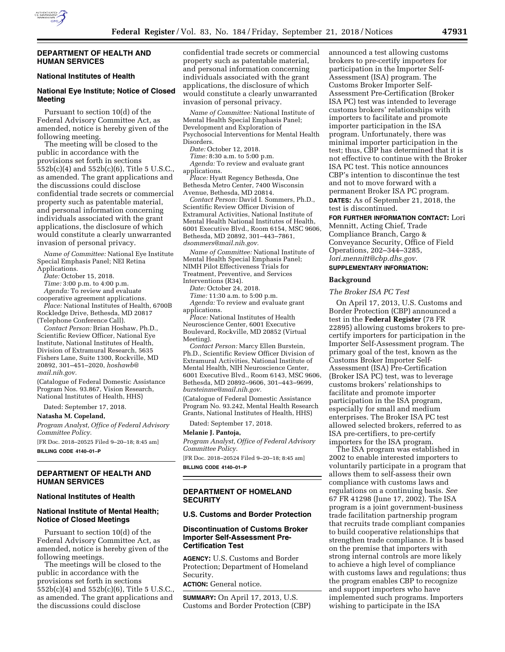

#### **DEPARTMENT OF HEALTH AND HUMAN SERVICES**

# **National Institutes of Health**

# **National Eye Institute; Notice of Closed Meeting**

Pursuant to section 10(d) of the Federal Advisory Committee Act, as amended, notice is hereby given of the following meeting.

The meeting will be closed to the public in accordance with the provisions set forth in sections 552b(c)(4) and 552b(c)(6), Title 5 U.S.C., as amended. The grant applications and the discussions could disclose confidential trade secrets or commercial property such as patentable material, and personal information concerning individuals associated with the grant applications, the disclosure of which would constitute a clearly unwarranted invasion of personal privacy.

*Name of Committee:* National Eye Institute Special Emphasis Panel; NEI Retina Applications.

*Date:* October 15, 2018.

*Time:* 3:00 p.m. to 4:00 p.m.

*Agenda:* To review and evaluate

cooperative agreement applications. *Place:* National Institutes of Health, 6700B Rockledge Drive, Bethesda, MD 20817

(Telephone Conference Call). *Contact Person:* Brian Hoshaw, Ph.D., Scientific Review Officer, National Eye Institute, National Institutes of Health, Division of Extramural Research, 5635 Fishers Lane, Suite 1300, Rockville, MD 20892, 301–451–2020, *[hoshawb@](mailto:hoshawb@mail.nih.gov) [mail.nih.gov.](mailto:hoshawb@mail.nih.gov)* 

(Catalogue of Federal Domestic Assistance Program Nos. 93.867, Vision Research, National Institutes of Health, HHS)

Dated: September 17, 2018.

**Natasha M. Copeland,** 

*Program Analyst, Office of Federal Advisory Committee Policy.* 

[FR Doc. 2018–20525 Filed 9–20–18; 8:45 am] **BILLING CODE 4140–01–P** 

## **DEPARTMENT OF HEALTH AND HUMAN SERVICES**

### **National Institutes of Health**

## **National Institute of Mental Health; Notice of Closed Meetings**

Pursuant to section 10(d) of the Federal Advisory Committee Act, as amended, notice is hereby given of the following meetings.

The meetings will be closed to the public in accordance with the provisions set forth in sections 552b(c)(4) and 552b(c)(6), Title 5 U.S.C., as amended. The grant applications and the discussions could disclose

confidential trade secrets or commercial property such as patentable material, and personal information concerning individuals associated with the grant applications, the disclosure of which would constitute a clearly unwarranted invasion of personal privacy.

*Name of Committee:* National Institute of Mental Health Special Emphasis Panel; Development and Exploration of Psychosocial Interventions for Mental Health Disorders.

*Date:* October 12, 2018.

*Time:* 8:30 a.m. to 5:00 p.m. *Agenda:* To review and evaluate grant applications.

*Place:* Hyatt Regency Bethesda, One Bethesda Metro Center, 7400 Wisconsin Avenue, Bethesda, MD 20814.

*Contact Person:* David I. Sommers, Ph.D., Scientific Review Officer Division of Extramural Activities, National Institute of Mental Health National Institutes of Health, 6001 Executive Blvd., Room 6154, MSC 9606, Bethesda, MD 20892, 301–443–7861, *[dsommers@mail.nih.gov.](mailto:dsommers@mail.nih.gov)* 

*Name of Committee:* National Institute of Mental Health Special Emphasis Panel; NIMH Pilot Effectiveness Trials for Treatment, Preventive, and Services Interventions (R34).

*Date:* October 24, 2018.

*Time:* 11:30 a.m. to 5:00 p.m.

*Agenda:* To review and evaluate grant applications.

*Place:* National Institutes of Health Neuroscience Center, 6001 Executive Boulevard, Rockville, MD 20852 (Virtual Meeting).

*Contact Person:* Marcy Ellen Burstein, Ph.D., Scientific Review Officer Division of Extramural Activities, National Institute of Mental Health, NIH Neuroscience Center, 6001 Executive Blvd., Room 6143, MSC 9606, Bethesda, MD 20892–9606, 301–443–9699, *[bursteinme@mail.nih.gov.](mailto:bursteinme@mail.nih.gov)* 

(Catalogue of Federal Domestic Assistance Program No. 93.242, Mental Health Research Grants, National Institutes of Health, HHS)

Dated: September 17, 2018.

#### **Melanie J. Pantoja,**

*Program Analyst, Office of Federal Advisory Committee Policy.* 

[FR Doc. 2018–20524 Filed 9–20–18; 8:45 am]

**BILLING CODE 4140–01–P** 

#### **DEPARTMENT OF HOMELAND SECURITY**

### **U.S. Customs and Border Protection**

### **Discontinuation of Customs Broker Importer Self-Assessment Pre-Certification Test**

**AGENCY:** U.S. Customs and Border Protection; Department of Homeland Security.

**ACTION:** General notice.

**SUMMARY:** On April 17, 2013, U.S. Customs and Border Protection (CBP) announced a test allowing customs brokers to pre-certify importers for participation in the Importer Self-Assessment (ISA) program. The Customs Broker Importer Self-Assessment Pre-Certification (Broker ISA PC) test was intended to leverage customs brokers' relationships with importers to facilitate and promote importer participation in the ISA program. Unfortunately, there was minimal importer participation in the test; thus, CBP has determined that it is not effective to continue with the Broker ISA PC test. This notice announces CBP's intention to discontinue the test and not to move forward with a permanent Broker ISA PC program. **DATES:** As of September 21, 2018, the

test is discontinued. **FOR FURTHER INFORMATION CONTACT:** Lori Mennitt, Acting Chief, Trade Compliance Branch, Cargo & Conveyance Security, Office of Field

Operations, 202–344–3285, *[lori.mennitt@cbp.dhs.gov.](mailto:lori.mennitt@cbp.dhs.gov)* 

### **SUPPLEMENTARY INFORMATION:**

#### **Background**

*The Broker ISA PC Test* 

On April 17, 2013, U.S. Customs and Border Protection (CBP) announced a test in the **Federal Register** (78 FR 22895) allowing customs brokers to precertify importers for participation in the Importer Self-Assessment program. The primary goal of the test, known as the Customs Broker Importer Self-Assessment (ISA) Pre-Certification (Broker ISA PC) test, was to leverage customs brokers' relationships to facilitate and promote importer participation in the ISA program, especially for small and medium enterprises. The Broker ISA PC test allowed selected brokers, referred to as ISA pre-certifiers, to pre-certify importers for the ISA program.

The ISA program was established in 2002 to enable interested importers to voluntarily participate in a program that allows them to self-assess their own compliance with customs laws and regulations on a continuing basis. *See*  67 FR 41298 (June 17, 2002). The ISA program is a joint government-business trade facilitation partnership program that recruits trade compliant companies to build cooperative relationships that strengthen trade compliance. It is based on the premise that importers with strong internal controls are more likely to achieve a high level of compliance with customs laws and regulations; thus the program enables CBP to recognize and support importers who have implemented such programs. Importers wishing to participate in the ISA